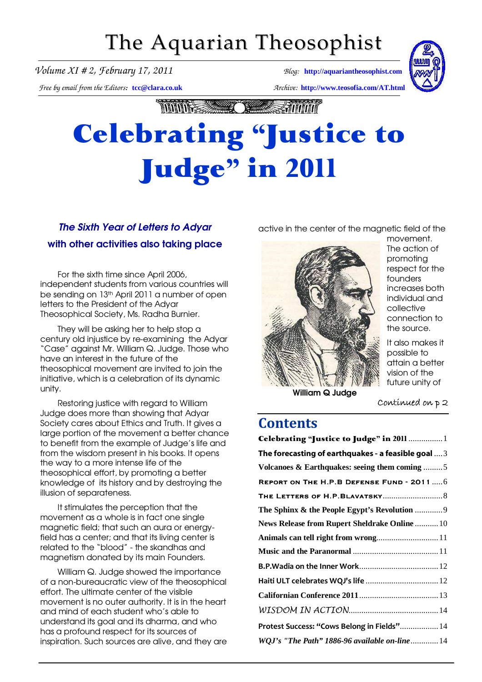## The Aquarian Theosophist

*Volume XI # 2, February 17, 2011 Blog:* **[http://aquariantheosophist.com](http://aquariantheosophist.com/)**

*Free by email from the Editors:* **[tcc@clara.co.uk](mailto:tcc@clara.co.uk)** *Archive:* **<http://www.teosofia.com/AT.html>**



mmts C **Exponent** 

# **Celebrating "Justice to** Judge" in 2011

## The Sixth Year of Letters to Adyar with other activities also taking place

For the sixth time since April 2006, independent students from various countries will be sending on 13th April 2011 a number of open letters to the President of the Adyar Theosophical Society, Ms. Radha Burnier.

They will be asking her to help stop a century old injustice by re-examining the Adyar "Case" against Mr. William Q. Judge. Those who have an interest in the future of the theosophical movement are invited to join the initiative, which is a celebration of its dynamic unity.

Restoring justice with regard to William Judge does more than showing that Adyar Society cares about Ethics and Truth. It gives a large portion of the movement a better chance to benefit from the example of Judge's life and from the wisdom present in his books. It opens the way to a more intense life of the theosophical effort, by promoting a better knowledge of its history and by destroying the illusion of separateness.

It stimulates the perception that the movement as a whole is in fact one single magnetic field; that such an aura or energyfield has a center; and that its living center is related to the "blood" - the skandhas and magnetism donated by its main Founders.

William Q. Judge showed the importance of a non-bureaucratic view of the theosophical effort. The ultimate center of the visible movement is no outer authority. It is in the heart and mind of each student who's able to understand its goal and its dharma, and who has a profound respect for its sources of inspiration. Such sources are alive, and they are





movement. The action of promoting respect for the founders increases both individual and collective connection to the source.

It also makes it possible to attain a better vision of the future unity of

William Q Judge

#### Continued on p 2

## **Contents**

| Celebrating "Justice to Judge" in 2011  1           |
|-----------------------------------------------------|
| The forecasting of earthquakes - a feasible goal  3 |
| Volcanoes & Earthquakes: seeing them coming 5       |
| REPORT ON THE H.P.B DEFENSE FUND - 2011  6          |
|                                                     |
| The Sphinx & the People Egypt's Revolution  9       |
| News Release from Rupert Sheldrake Online  10       |
| Animals can tell right from wrong 11                |
|                                                     |
|                                                     |
| Haiti ULT celebrates WQJ's life  12                 |
|                                                     |
|                                                     |
| Protest Success: "Cows Belong in Fields" 14         |
| WQJ's "The Path" 1886-96 available on-line 14       |
|                                                     |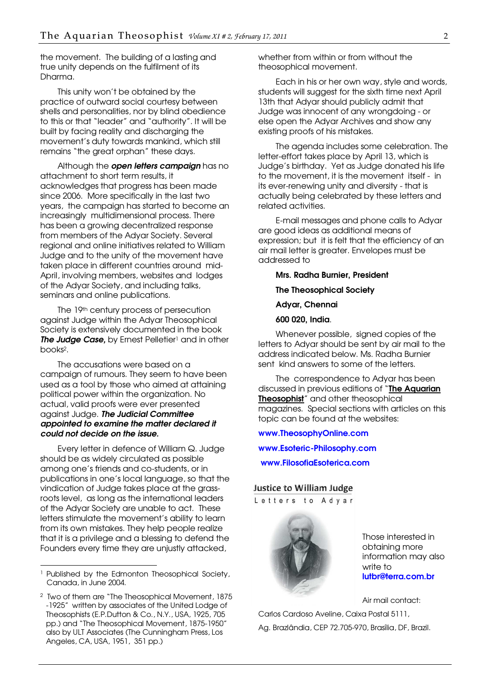the movement. The building of a lasting and true unity depends on the fulfilment of its Dharma.

This unity won't be obtained by the practice of outward social courtesy between shells and personalities, nor by blind obedience to this or that "leader" and "authority". It will be built by facing reality and discharging the movement's duty towards mankind, which still remains "the great orphan" these days.

Although the **open letters campaign** has no attachment to short term results, it acknowledges that progress has been made since 2006. More specifically in the last two years, the campaign has started to become an increasingly multidimensional process. There has been a growing decentralized response from members of the Adyar Society. Several regional and online initiatives related to William Judge and to the unity of the movement have taken place in different countries around mid-April, involving members, websites and lodges of the Adyar Society, and including talks, seminars and online publications.

The 19th century process of persecution against Judge within the Adyar Theosophical Society is extensively documented in the book The Judge Case, by Ernest Pelletier<sup>1</sup> and in other books2.

The accusations were based on a campaign of rumours. They seem to have been used as a tool by those who aimed at attaining political power within the organization. No actual, valid proofs were ever presented against Judge. The Judicial Committee appointed to examine the matter declared it could not decide on the issue.

Every letter in defence of William Q. Judge should be as widely circulated as possible among one's friends and co-students, or in publications in one's local language, so that the vindication of Judge takes place at the grassroots level, as long as the international leaders of the Adyar Society are unable to act. These letters stimulate the movement's ability to learn from its own mistakes. They help people realize that it is a privilege and a blessing to defend the Founders every time they are unjustly attacked,

-

whether from within or from without the theosophical movement.

Each in his or her own way, style and words, students will suggest for the sixth time next April 13th that Adyar should publicly admit that Judge was innocent of any wrongdoing - or else open the Adyar Archives and show any existing proofs of his mistakes.

The agenda includes some celebration. The letter-effort takes place by April 13, which is Judge's birthday. Yet as Judge donated his life to the movement, it is the movement itself - in its ever-renewing unity and diversity - that is actually being celebrated by these letters and related activities.

E-mail messages and phone calls to Adyar are good ideas as additional means of expression; but it is felt that the efficiency of an air mail letter is greater. Envelopes must be addressed to

Mrs. Radha Burnier, President

The Theosophical Society

Adyar, Chennai

600 020, India.

Whenever possible, signed copies of the letters to Adyar should be sent by air mail to the address indicated below. Ms. Radha Burnier sent kind answers to some of the letters.

The correspondence to Adyar has been discussed in previous editions of "The Aquarian Theosophist" and other theosophical magazines. Special sections with articles on this topic can be found at the websites:

[www.TheosophyOnline.com](http://www.theosophyonline.com/)

[www.Esoteric-Philosophy.com](http://www.esoteric-philosophy.com/)

[www.FilosofiaEsoterica.com](http://www.filosofiaesoterica.com/)

#### Justice to William Judge

Letters to Adyar



Those interested in obtaining more information may also write to [lutbr@terra.com.br](mailto:lutbr@terra.com.br)

Air mail contact:

Carlos Cardoso Aveline, Caixa Postal 5111, Ag. Brazlândia, CEP 72.705-970, Brasília, DF, Brazil.

<sup>&</sup>lt;sup>1</sup> Published by the Edmonton Theosophical Society, Canada, in June 2004.

<sup>2</sup> Two of them are "The Theosophical Movement, 1875 -1925" written by associates of the United Lodge of Theosophists (E.P.Dutton & Co., N.Y., USA, 1925, 705 pp.) and "The Theosophical Movement, 1875-1950" also by ULT Associates (The Cunningham Press, Los Angeles, CA, USA, 1951, 351 pp.)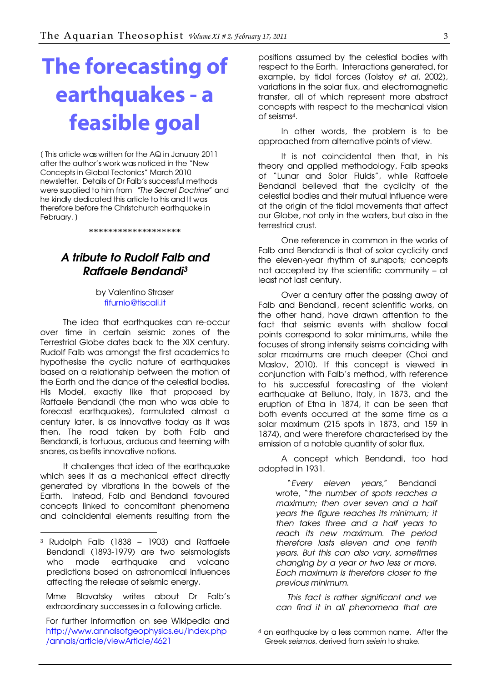# <span id="page-2-0"></span>The forecasting of earthquakes - a feasible goal

[ This article was written for the AQ in January 2011 after the author's work was noticed in the "New Concepts in Global Tectonics" March 2010 newsletter. Details of Dr Falb's successful methods were supplied to him from "The Secret Doctrine" and he kindly dedicated this article to his and It was therefore before the Christchurch earthquake in February. )

\*\*\*\*\*\*\*\*\*\*\*\*\*\*\*\*\*\*\*

### A tribute to Rudolf Falb and Raffaele Bendandi<sup>3</sup>

by Valentino Straser [fifurnio@tiscali.it](mailto:fifurnio@tiscali.it)

The idea that earthquakes can re-occur over time in certain seismic zones of the Terrestrial Globe dates back to the XIX century. Rudolf Falb was amongst the first academics to hypothesise the cyclic nature of earthquakes based on a relationship between the motion of the Earth and the dance of the celestial bodies. His Model, exactly like that proposed by Raffaele Bendandi (the man who was able to forecast earthquakes), formulated almost a century later, is as innovative today as it was then. The road taken by both Falb and Bendandi, is tortuous, arduous and teeming with snares, as befits innovative notions.

It challenges that idea of the earthquake which sees it as a mechanical effect directly generated by vibrations in the bowels of the Earth. Instead, Falb and Bendandi favoured concepts linked to concomitant phenomena and coincidental elements resulting from the

-

Mme Blavatsky writes about Dr Falb's extraordinary successes in a following article.

positions assumed by the celestial bodies with respect to the Earth. Interactions generated, for example, by tidal forces (Tolstoy et al, 2002), variations in the solar flux, and electromagnetic transfer, all of which represent more abstract concepts with respect to the mechanical vision of seisms4.

In other words, the problem is to be approached from alternative points of view.

It is not coincidental then that, in his theory and applied methodology, Falb speaks of "Lunar and Solar Fluids", while Raffaele Bendandi believed that the cyclicity of the celestial bodies and their mutual influence were at the origin of the tidal movements that affect our Globe, not only in the waters, but also in the terrestrial crust.

One reference in common in the works of Falb and Bendandi is that of solar cyclicity and the eleven-year rhythm of sunspots; concepts not accepted by the scientific community – at least not last century.

Over a century after the passing away of Falb and Bendandi, recent scientific works, on the other hand, have drawn attention to the fact that seismic events with shallow focal points correspond to solar minimums, while the focuses of strong intensity seisms coinciding with solar maximums are much deeper (Choi and Maslov, 2010). If this concept is viewed in conjunction with Falb's method, with reference to his successful forecasting of the violent earthquake at Belluno, Italy, in 1873, and the eruption of Etna in 1874, it can be seen that both events occurred at the same time as a solar maximum (215 spots in 1873, and 159 in 1874), and were therefore characterised by the emission of a notable quantity of solar flux.

A concept which Bendandi, too had adopted in 1931.

"Every eleven years," Bendandi wrote, "the number of spots reaches a maximum; then over seven and a half years the figure reaches its minimum; it then takes three and a half years to reach its new maximum. The period therefore lasts eleven and one tenth years. But this can also vary, sometimes changing by a year or two less or more. Each maximum is therefore closer to the previous minimum.

This fact is rather significant and we can find it in all phenomena that are

-

<sup>3</sup> Rudolph Falb (1838 – 1903) and Raffaele Bendandi (1893-1979) are two seismologists who made earthquake and volcano predictions based on astronomical influences affecting the release of seismic energy.

For further information on see Wikipedia and http://www.annalsofgeophysics.eu/index.php /annals/article/viewArticle/4621

<sup>4</sup> an earthquake by a less common name. After the Greek seismos, derived from seiein to shake.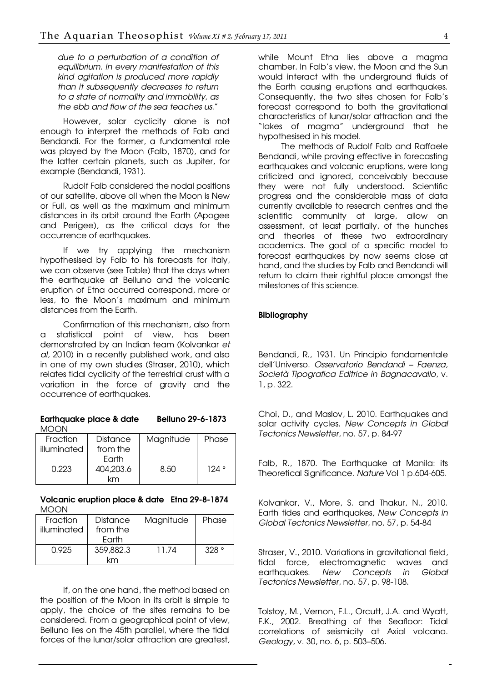due to a perturbation of a condition of equilibrium. In every manifestation of this kind agitation is produced more rapidly than it subsequently decreases to return to a state of normality and immobility, as the ebb and flow of the sea teaches us."

However, solar cyclicity alone is not enough to interpret the methods of Falb and Bendandi. For the former, a fundamental role was played by the Moon (Falb, 1870), and for the latter certain planets, such as Jupiter, for example (Bendandi, 1931).

Rudolf Falb considered the nodal positions of our satellite, above all when the Moon is New or Full, as well as the maximum and minimum distances in its orbit around the Earth (Apogee and Perigee), as the critical days for the occurrence of earthquakes.

If we try applying the mechanism hypothesised by Falb to his forecasts for Italy, we can observe (see Table) that the days when the earthquake at Belluno and the volcanic eruption of Etna occurred correspond, more or less, to the Moon's maximum and minimum distances from the Earth.

Confirmation of this mechanism, also from a statistical point of view, has been demonstrated by an Indian team (Kolvankar et al, 2010) in a recently published work, and also in one of my own studies (Straser, 2010), which relates tidal cyclicity of the terrestrial crust with a variation in the force of gravity and the occurrence of earthquakes.

#### Earthquake place & date Belluno 29-6-1873 MOON

| <b>Fraction</b> | <b>Distance</b> | Magnitude | Phase |
|-----------------|-----------------|-----------|-------|
| illuminated     | from the        |           |       |
|                 | Farth           |           |       |
| 0.223           | 404,203.6       | 8.50      | ° 124 |
|                 | ۷m              |           |       |

#### Volcanic eruption place & date Etna 29-8-1874 MOON

| Fraction    | Distance  | Magnitude | Phase |
|-------------|-----------|-----------|-------|
| illuminated | from the  |           |       |
|             | Farth     |           |       |
| 0.925       | 359,882.3 | 11 74     | .328° |
|             | km        |           |       |

If, on the one hand, the method based on the position of the Moon in its orbit is simple to apply, the choice of the sites remains to be considered. From a geographical point of view, Belluno lies on the 45th parallel, where the tidal forces of the lunar/solar attraction are greatest, while Mount Etna lies above a magma chamber. In Falb's view, the Moon and the Sun would interact with the underground fluids of the Earth causing eruptions and earthquakes. Consequently, the two sites chosen for Falb's forecast correspond to both the gravitational characteristics of lunar/solar attraction and the "lakes of magma" underground that he hypothesised in his model.

The methods of Rudolf Falb and Raffaele Bendandi, while proving effective in forecasting earthquakes and volcanic eruptions, were long criticized and ignored, conceivably because they were not fully understood. Scientific progress and the considerable mass of data currently available to research centres and the scientific community at large, allow an assessment, at least partially, of the hunches and theories of these two extraordinary academics. The goal of a specific model to forecast earthquakes by now seems close at hand, and the studies by Falb and Bendandi will return to claim their rightful place amongst the milestones of this science.

#### **Bibliography**

Bendandi, R., 1931. Un Principio fondamentale dell'Universo. Osservatorio Bendandi – Faenza, Società Tipografica Editrice in Bagnacavallo, v. 1, p. 322.

Choi, D., and Maslov, L. 2010. Earthquakes and solar activity cycles. New Concepts in Global Tectonics Newsletter, no. 57, p. 84-97

Falb, R., 1870. The Earthquake at Manila: its Theoretical Significance. Nature Vol 1 p.604-605.

Kolvankar, V., More, S. and Thakur, N., 2010. Earth tides and earthquakes, New Concepts in Global Tectonics Newsletter, no. 57, p. 54-84

Straser, V., 2010. Variations in gravitational field, tidal force, electromagnetic waves and earthquakes. New Concepts in Global Tectonics Newsletter, no. 57, p. 98-108.

Tolstoy, M., Vernon, F.L., Orcutt, J.A. and Wyatt, F.K., 2002. Breathing of the Seafloor: Tidal correlations of seismicity at Axial volcano. Geology, v. 30, no. 6, p. 503–506.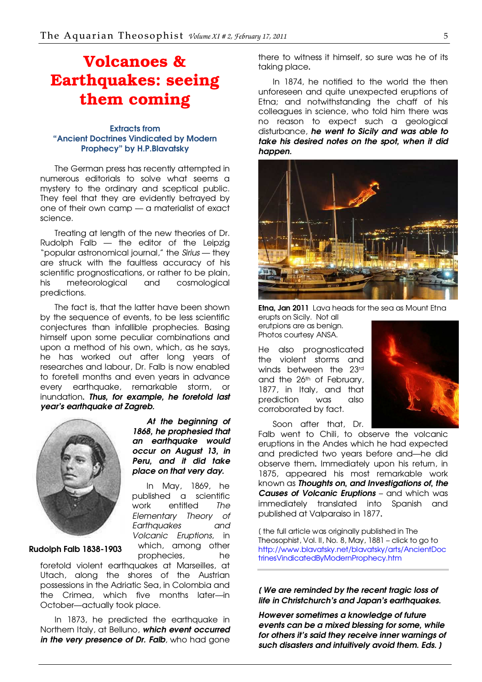## <span id="page-4-0"></span>Volcanoes & Earthquakes: seeing them coming

#### **Extracts from** "Ancient Doctrines Vindicated by Modern Prophecy" by H.P.Blavatsky

The German press has recently attempted in numerous editorials to solve what seems a mystery to the ordinary and sceptical public. They feel that they are evidently betrayed by one of their own camp — a materialist of exact science.

Treating at length of the new theories of Dr. Rudolph Falb — the editor of the Leipzig "popular astronomical journal," the Sirius - they are struck with the faultless accuracy of his scientific prognostications, or rather to be plain, his meteorological and cosmological predictions.

The fact is, that the latter have been shown by the sequence of events, to be less scientific conjectures than infallible prophecies. Basing himself upon some peculiar combinations and upon a method of his own, which, as he says, he has worked out after long years of researches and labour, Dr. Falb is now enabled to foretell months and even years in advance every earthquake, remarkable storm, or inundation. Thus, for example, he foretold last year's earthquake at Zagreb.

> At the beginning of 1868, he prophesied that an earthauake would occur on August 13, in Peru, and it did take place on that very day.

In May, 1869, he published a scientific work entitled The Elementary Theory of Earthquakes and



Rudolph Falb 1838-1903

Volcanic Eruptions, in which, among other prophecies, he foretold violent earthquakes at Marseilles, at Utach, along the shores of the Austrian possessions in the Adriatic Sea, in Colombia and the Crimea, which five months later—in October—actually took place.

In 1873, he predicted the earthquake in Northern Italy, at Belluno, which event occurred in the very presence of Dr. Falb, who had gone

there to witness it himself, so sure was he of its taking place.

In 1874, he notified to the world the then unforeseen and quite unexpected eruptions of Etna; and notwithstanding the chaff of his colleagues in science, who told him there was no reason to expect such a geological disturbance, he went to Sicily and was able to take his desired notes on the spot, when it did happen.



**Etna, Jan 2011** Lava heads for the sea as Mount Etna

erupts on Sicily. Not all erutpions are as benign. Photos courtesy ANSA.

He also prognosticated the violent storms and winds between the 23rd and the 26th of February, 1877, in Italy, and that prediction was also corroborated by fact.



Soon after that, Dr. Falb went to Chili, to observe the volcanic eruptions in the Andes which he had expected and predicted two years before and—he did observe them. Immediately upon his return, in 1875, appeared his most remarkable work known as Thoughts on, and Investigations of, the

Causes of Volcanic Eruptions - and which was immediately translated into Spanish and published at Valparaiso in 1877.

[ the full article was originally published in The Theosophist, Vol. II, No. 8, May, 1881 – click to go to [http://www.blavatsky.net/blavatsky/arts/AncientDoc](http://www.blavatsky.net/blavatsky/arts/AncientDoctrinesVindicatedByModernProphecy.htm) trinesVindicatedByModernProphecy.htm

#### [ We are reminded by the recent tragic loss of life in Christchurch's and Japan's earthquakes.

However sometimes a knowledge of future events can be a mixed blessing for some, while for others it's said they receive inner warnings of such disasters and intuitively avoid them. Eds. ]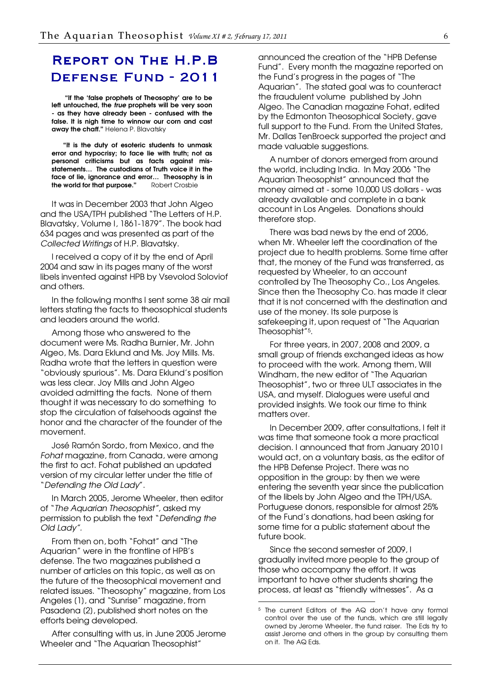## <span id="page-5-0"></span>**REPORT ON THE H.P.B** DEFENSE FUND - 2011

 "If the 'false prophets of Theosophy' are to be left untouched, the *true* prophets will be very soon - as they have already been - confused with the false. It is nigh time to winnow our corn and cast away the chaff." Helena P. Blavatsky

"It is the duty of esoteric students to unmask error and hypocrisy; to face lie with truth; not as personal criticisms but as facts against misstatements… The custodians of Truth voice it in the face of lie, ignorance and error… Theosophy is in the world for that purpose." Robert Crosbie

It was in December 2003 that John Algeo and the USA/TPH published "The Letters of H.P. Blavatsky, Volume I, 1861-1879". The book had 634 pages and was presented as part of the Collected Writings of H.P. Blavatsky.

I received a copy of it by the end of April 2004 and saw in its pages many of the worst libels invented against HPB by Vsevolod Soloviof and others.

In the following months I sent some 38 air mail letters stating the facts to theosophical students and leaders around the world.

Among those who answered to the document were Ms. Radha Burnier, Mr. John Algeo, Ms. Dara Eklund and Ms. Joy Mills. Ms. Radha wrote that the letters in question were "obviously spurious". Ms. Dara Eklund's position was less clear. Joy Mills and John Algeo avoided admitting the facts. None of them thought it was necessary to do something to stop the circulation of falsehoods against the honor and the character of the founder of the movement.

José Ramón Sordo, from Mexico, and the Fohat magazine, from Canada, were among the first to act. Fohat published an updated version of my circular letter under the title of "Defending the Old Lady".

In March 2005, Jerome Wheeler, then editor of "The Aquarian Theosophist", asked my permission to publish the text "Defending the Old Lady".

From then on, both "Fohat" and "The Aquarian" were in the frontline of HPB's defense. The two magazines published a number of articles on this topic, as well as on the future of the theosophical movement and related issues. "Theosophy" magazine, from Los Angeles [1], and "Sunrise" magazine, from Pasadena [2], published short notes on the efforts being developed.

After consulting with us, in June 2005 Jerome Wheeler and "The Aquarian Theosophist"

announced the creation of the "HPB Defense Fund". Every month the magazine reported on the Fund's progress in the pages of "The Aquarian". The stated goal was to counteract the fraudulent volume published by John Algeo. The Canadian magazine Fohat, edited by the Edmonton Theosophical Society, gave full support to the Fund. From the United States, Mr. Dallas TenBroeck supported the project and made valuable suggestions.

A number of donors emerged from around the world, including India. In May 2006 "The Aquarian Theosophist" announced that the money aimed at - some 10,000 US dollars - was already available and complete in a bank account in Los Angeles. Donations should therefore stop.

There was bad news by the end of 2006, when Mr. Wheeler left the coordination of the project due to health problems. Some time after that, the money of the Fund was transferred, as requested by Wheeler, to an account controlled by The Theosophy Co., Los Angeles. Since then the Theosophy Co. has made it clear that it is not concerned with the destination and use of the money. Its sole purpose is safekeeping it, upon request of "The Aquarian Theosophist"5.

For three years, in 2007, 2008 and 2009, a small group of friends exchanged ideas as how to proceed with the work. Among them, Will Windham, the new editor of "The Aquarian Theosophist", two or three ULT associates in the USA, and myself. Dialogues were useful and provided insights. We took our time to think matters over.

In December 2009, after consultations, I felt it was time that someone took a more practical decision. I announced that from January 2010 I would act, on a voluntary basis, as the editor of the HPB Defense Project. There was no opposition in the group: by then we were entering the seventh year since the publication of the libels by John Algeo and the TPH/USA. Portuguese donors, responsible for almost 25% of the Fund's donations, had been asking for some time for a public statement about the future book.

Since the second semester of 2009, I gradually invited more people to the group of those who accompany the effort. It was important to have other students sharing the process, at least as "friendly witnesses". As a

-

<sup>5</sup> The current Editors of the AQ don't have any formal control over the use of the funds, which are still legally owned by Jerome Wheeler, the fund raiser. The Eds try to assist Jerome and others in the group by consulting them on it. The AQ Eds.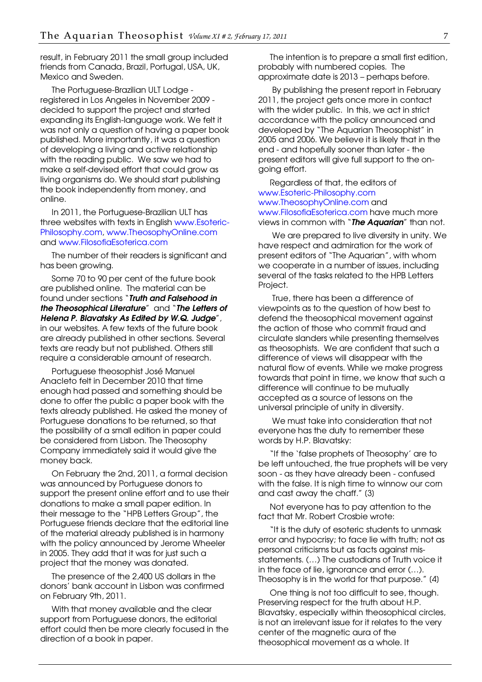result, in February 2011 the small group included friends from Canada, Brazil, Portugal, USA, UK, Mexico and Sweden.

The Portuguese-Brazilian ULT Lodge registered in Los Angeles in November 2009 decided to support the project and started expanding its English-language work. We felt it was not only a question of having a paper book published. More importantly, it was a question of developing a living and active relationship with the reading public. We saw we had to make a self-devised effort that could grow as living organisms do. We should start publishing the book independently from money, and online.

In 2011, the Portuguese-Brazilian ULT has three websites with texts in English [www.Esoteric-](http://www.esoteric-philosophy.com/)Philosophy.com, [www.TheosophyOnline.com](http://www.theosophyonline.com/) and [www.FilosofiaEsoterica.com](http://www.filosofiaesoterica.com/)

The number of their readers is significant and has been growing.

Some 70 to 90 per cent of the future book are published online. The material can be found under sections "**Truth and Falsehood in** the Theosophical Literature" and "The Letters of Helena P. Blavatsky As Edited by W.Q. Judge", in our websites. A few texts of the future book are already published in other sections. Several texts are ready but not published. Others still require a considerable amount of research.

Portuguese theosophist José Manuel Anacleto felt in December 2010 that time enough had passed and something should be done to offer the public a paper book with the texts already published. He asked the money of Portuguese donations to be returned, so that the possibility of a small edition in paper could be considered from Lisbon. The Theosophy Company immediately said it would give the money back.

On February the 2nd, 2011, a formal decision was announced by Portuguese donors to support the present online effort and to use their donations to make a small paper edition. In their message to the "HPB Letters Group", the Portuguese friends declare that the editorial line of the material already published is in harmony with the policy announced by Jerome Wheeler in 2005. They add that it was for just such a project that the money was donated.

The presence of the 2,400 US dollars in the donors' bank account in Lisbon was confirmed on February 9th, 2011.

With that money available and the clear support from Portuguese donors, the editorial effort could then be more clearly focused in the direction of a book in paper.

The intention is to prepare a small first edition, probably with numbered copies. The approximate date is 2013 – perhaps before.

 By publishing the present report in February 2011, the project gets once more in contact with the wider public. In this, we act in strict accordance with the policy announced and developed by "The Aquarian Theosophist" in 2005 and 2006. We believe it is likely that in the end - and hopefully sooner than later - the present editors will give full support to the ongoing effort.

Regardless of that, the editors of [www.Esoteric-Philosophy.com](http://www.esoteric-philosophy.com/)  [www.TheosophyOnline.com and](http://www.theosophyonline.com/)  [www.FilosofiaEsoterica.com have much more](http://www.filosofiaesoterica.com/)  views in common with "The Aquarian" than not.

 We are prepared to live diversity in unity. We have respect and admiration for the work of present editors of "The Aquarian", with whom we cooperate in a number of issues, including several of the tasks related to the HPB Letters Project.

 True, there has been a difference of viewpoints as to the question of how best to defend the theosophical movement against the action of those who commit fraud and circulate slanders while presenting themselves as theosophists. We are confident that such a difference of views will disappear with the natural flow of events. While we make progress towards that point in time, we know that such a difference will continue to be mutually accepted as a source of lessons on the universal principle of unity in diversity.

 We must take into consideration that not everyone has the duty to remember these words by H.P. Blavatsky:

"If the 'false prophets of Theosophy' are to be left untouched, the true prophets will be very soon - as they have already been - confused with the false. It is nigh time to winnow our corn and cast away the chaff." [3]

Not everyone has to pay attention to the fact that Mr. Robert Crosbie wrote:

"It is the duty of esoteric students to unmask error and hypocrisy; to face lie with truth; not as personal criticisms but as facts against misstatements. (…) The custodians of Truth voice it in the face of lie, ignorance and error (…). Theosophy is in the world for that purpose." [4]

One thing is not too difficult to see, though. Preserving respect for the truth about H.P. Blavatsky, especially within theosophical circles, is not an irrelevant issue for it relates to the very center of the magnetic aura of the theosophical movement as a whole. It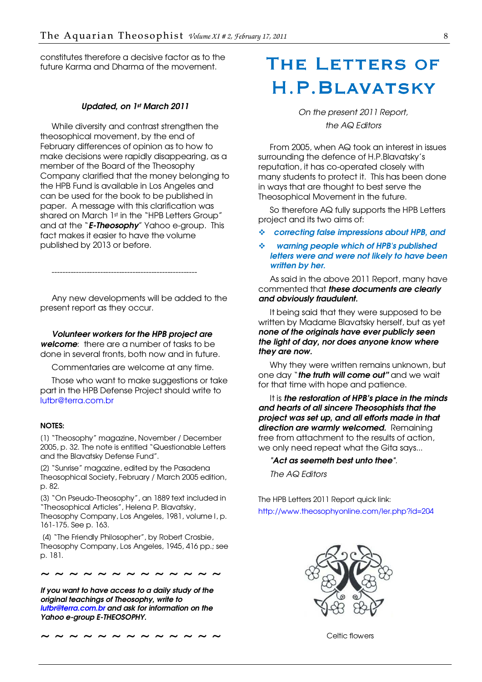<span id="page-7-0"></span>constitutes therefore a decisive factor as to the future Karma and Dharma of the movement.

#### Updated, on 1st March 2011

While diversity and contrast strengthen the theosophical movement, by the end of February differences of opinion as to how to make decisions were rapidly disappearing, as a member of the Board of the Theosophy Company clarified that the money belonging to the HPB Fund is available in Los Angeles and can be used for the book to be published in paper. A message with this clarification was shared on March 1st in the "HPB Letters Group" and at the "**E-Theosophy**" Yahoo e-group. This fact makes it easier to have the volume published by 2013 or before.

Any new developments will be added to the present report as they occur.

------------------------------------------------------

Volunteer workers for the HPB project are

welcome: there are a number of tasks to be done in several fronts, both now and in future.

Commentaries are welcome at any time.

Those who want to make suggestions or take part in the HPB Defense Project should write to [lutbr@terra.com.br](mailto:lutbr@terra.com.br)

#### NOTES:

[1] "Theosophy" magazine, November / December 2005, p. 32. The note is entitled "Questionable Letters and the Blavatsky Defense Fund".

[2] "Sunrise" magazine, edited by the Pasadena Theosophical Society, February / March 2005 edition, p. 82.

[3] "On Pseudo-Theosophy", an 1889 text included in "Theosophical Articles", Helena P. Blavatsky, Theosophy Company, Los Angeles, 1981, volume I, p. 161-175. See p. 163.

 [4] "The Friendly Philosopher", by Robert Crosbie, Theosophy Company, Los Angeles, 1945, 416 pp.; see p. 181.

~ ~ ~ ~ ~ ~ ~ ~ ~ ~

If you want to have access to a daily study of the original teachings of Theosophy, write to lutbr@terra.com.br and ask for information on the Yahoo e-group E-THEOSOPHY.

~ ~ ~ ~ ~ ~ ~ ~ ~ ~ ~ ~ ~

## The Letters of H.P.Blavatsky

On the present 2011 Report, the AQ Editors

From 2005, when AQ took an interest in issues surrounding the defence of H.P.Blavatsky's reputation, it has co-operated closely with many students to protect it. This has been done in ways that are thought to best serve the Theosophical Movement in the future.

So therefore AQ fully supports the HPB Letters project and its two aims of:

- correcting false impressions about HPB, and
- warning people which of HPB's published letters were and were not likely to have been written by her.

As said in the above 2011 Report, many have commented that these documents are clearly and obviously fraudulent.

It being said that they were supposed to be written by Madame Blavatsky herself, but as yet none of the originals have ever publicly seen the light of day, nor does anyone know where they are now.

Why they were written remains unknown, but one day "**the truth will come out"** and we wait for that time with hope and patience.

It is the restoration of HPB's place in the minds and hearts of all sincere Theosophists that the project was set up, and all efforts made in that direction are warmly welcomed. Remaining free from attachment to the results of action, we only need repeat what the Gita says...

#### "Act as seemeth best unto thee".

The AQ Editors

The HPB Letters 2011 Report quick link: <http://www.theosophyonline.com/ler.php?id=204>



Celtic flowers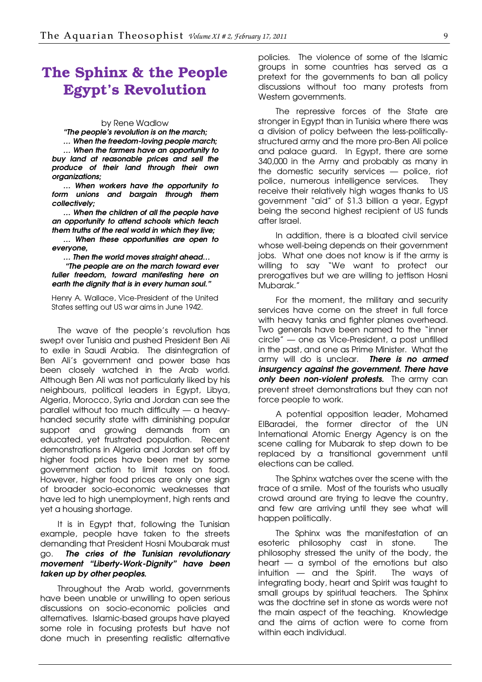## <span id="page-8-0"></span>The Sphinx & the People Egypt's Revolution

#### by Rene Wadlow

"The people's revolution is on the march;

… When the freedom-loving people march; … When the farmers have an opportunity to buy land at reasonable prices and sell the produce of their land through their own organizations;

… When workers have the opportunity to form unions and bargain through them collectively;

… When the children of all the people have an opportunity to attend schools which teach them truths of the real world in which they live; … When these opportunities are open to

everyone,

… Then the world moves straight ahead… "The people are on the march toward ever fuller freedom, toward manifesting here on

Henry A. Wallace, Vice-President of the United States setting out US war aims in June 1942.

earth the dignity that is in every human soul."

The wave of the people's revolution has swept over Tunisia and pushed President Ben Ali to exile in Saudi Arabia. The disintegration of Ben Ali's government and power base has been closely watched in the Arab world. Although Ben Ali was not particularly liked by his neighbours, political leaders in Egypt, Libya, Algeria, Morocco, Syria and Jordan can see the parallel without too much difficulty — a heavyhanded security state with diminishing popular support and growing demands from an educated, yet frustrated population. Recent demonstrations in Algeria and Jordan set off by higher food prices have been met by some government action to limit taxes on food. However, higher food prices are only one sign of broader socio-economic weaknesses that have led to high unemployment, high rents and yet a housing shortage.

It is in Egypt that, following the Tunisian example, people have taken to the streets demanding that President Hosni Moubarak must go. The cries of the Tunisian revolutionary movement "Liberty-Work-Dignity" have been taken up by other peoples.

Throughout the Arab world, governments have been unable or unwilling to open serious discussions on socio-economic policies and alternatives. Islamic-based groups have played some role in focusing protests but have not done much in presenting realistic alternative

policies. The violence of some of the Islamic groups in some countries has served as a pretext for the governments to ban all policy discussions without too many protests from Western governments.

The repressive forces of the State are stronger in Egypt than in Tunisia where there was a division of policy between the less-politicallystructured army and the more pro-Ben Ali police and palace guard. In Egypt, there are some 340,000 in the Army and probably as many in the domestic security services — police, riot police, numerous intelligence services. They receive their relatively high wages thanks to US government "aid" of \$1.3 billion a year, Egypt being the second highest recipient of US funds after Israel.

In addition, there is a bloated civil service whose well-being depends on their government jobs. What one does not know is if the army is willing to say "We want to protect our prerogatives but we are willing to jettison Hosni Mubarak."

For the moment, the military and security services have come on the street in full force with heavy tanks and fighter planes overhead. Two generals have been named to the "inner circle" — one as Vice-President, a post unfilled in the past, and one as Prime Minister. What the army will do is unclear. There is no armed insurgency against the government. There have only been non-violent protests. The army can prevent street demonstrations but they can not force people to work.

A potential opposition leader, Mohamed ElBaradei, the former director of the UN International Atomic Energy Agency is on the scene calling for Mubarak to step down to be replaced by a transitional government until elections can be called.

The Sphinx watches over the scene with the trace of a smile. Most of the tourists who usually crowd around are trying to leave the country, and few are arriving until they see what will happen politically.

The Sphinx was the manifestation of an esoteric philosophy cast in stone. The philosophy stressed the unity of the body, the heart — a symbol of the emotions but also intuition — and the Spirit. The ways of integrating body, heart and Spirit was taught to small groups by spiritual teachers. The Sphinx was the doctrine set in stone as words were not the main aspect of the teaching. Knowledge and the aims of action were to come from within each individual.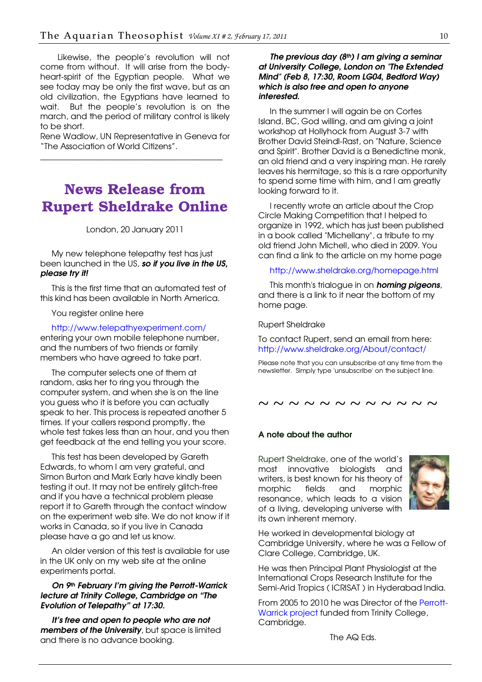<span id="page-9-0"></span>Likewise, the people's revolution will not come from without. It will arise from the bodyheart-spirit of the Egyptian people. What we see today may be only the first wave, but as an old civilization, the Egyptians have learned to wait. But the people's revolution is on the march, and the period of military control is likely to be short.

Rene Wadlow, UN Representative in Geneva for "The Association of World Citizens".

\_\_\_\_\_\_\_\_\_\_\_\_\_\_\_\_\_\_\_\_\_\_\_\_\_\_\_\_\_\_\_\_\_\_\_\_\_\_\_\_\_\_\_\_\_

## News Release from Rupert Sheldrake Online

#### London, 20 January 2011

My new telephone telepathy test has just been launched in the US, so if you live in the US, please try it!

This is the first time that an automated test of this kind has been available in North America.

You register online here

<http://www.telepathyexperiment.com/>

entering your own mobile telephone number, and the numbers of two friends or family members who have agreed to take part.

The computer selects one of them at random, asks her to ring you through the computer system, and when she is on the line you guess who it is before you can actually speak to her. This process is repeated another 5 times. If your callers respond promptly, the whole test takes less than an hour, and you then get feedback at the end telling you your score.

This test has been developed by Gareth Edwards, to whom I am very grateful, and Simon Burton and Mark Early have kindly been testing it out. It may not be entirely glitch-free and if you have a technical problem please report it to Gareth through the contact window on the experiment web site. We do not know if it works in Canada, so if you live in Canada please have a go and let us know.

An older version of this test is available for use in the UK only on my web site at the online experiments portal.

#### On 9th February I'm giving the Perrott-Warrick lecture at Trinity College, Cambridge on "The Evolution of Telepathy" at 17:30.

It's free and open to people who are not members of the University, but space is limited and there is no advance booking.

#### The previous day  $(8<sup>th</sup>)$  I am giving a seminar at University College, London on "The Extended Mind" (Feb 8, 17:30, Room LG04, Bedford Way) which is also free and open to anyone interested.

In the summer I will again be on Cortes Island, BC, God willing, and am giving a joint workshop at Hollyhock from August 3-7 with Brother David Steindl-Rast, on "Nature, Science and Spirit". Brother David is a Benedictine monk, an old friend and a very inspiring man. He rarely leaves his hermitage, so this is a rare opportunity to spend some time with him, and I am greatly looking forward to it.

I recently wrote an article about the Crop Circle Making Competition that I helped to organize in 1992, which has just been published in a book called "Michellany", a tribute to my old friend John Michell, who died in 2009. You can find a link to the article on my home page

[http://www.sheldrake.org/homepage.htm](http://www.sheldrake.org/homepage.html)l

This month's trialogue in on **homing pigeons**, and there is a link to it near the bottom of my home page.

Rupert Sheldrake

To contact Rupert, send an email from here: <http://www.sheldrake.org/About/contact/>

Please note that you can unsubscribe at any time from the newsletter. Simply type 'unsubscribe' on the subject line.

~ ~ ~ ~ ~ ~ ~ ~ ~ ~ ~

## A note about the author

Rupert Sheldrake, one of the world's most innovative biologists and writers, is best known for his theory of morphic fields and morphic resonance, which leads to a vision of a living, developing universe with its own inherent memory.



He worked in developmental biology at Cambridge University, where he was a Fellow of Clare College, Cambridge, UK.

He was then Principal Plant Physiologist at the International Crops Research Institute for the Semi-Arid Tropics ( ICRISAT ) in Hyderabad India.

From 2005 to 2010 he was Director of the [Perrott-](http://www.sheldrake.org/About/biography/pwfund.html)Warrick project funded from Trinity College, Cambridge.

The AQ Eds.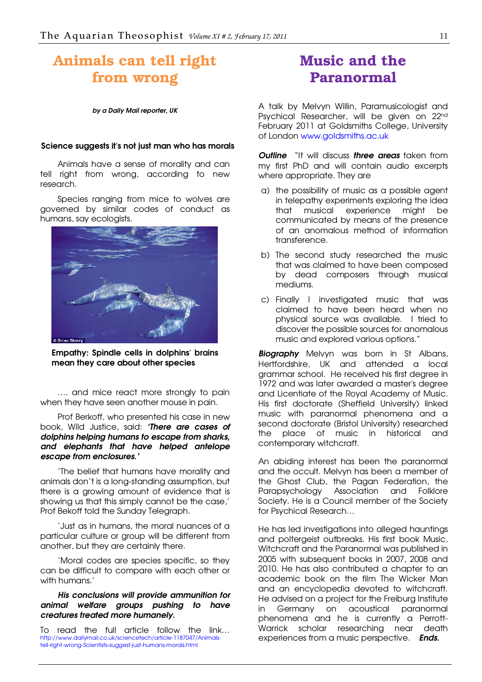## <span id="page-10-0"></span>Animals can tell right from wrong

#### by a Daily Mail reporter, UK

#### Science suggests it's not just man who has morals

Animals have a sense of morality and can tell right from wrong, according to new research.

Species ranging from mice to wolves are governed by similar codes of conduct as humans, say ecologists.



Empathy: Spindle cells in dolphins' brains mean they care about other species

…. and mice react more strongly to pain when they have seen another mouse in pain.

Prof Berkoff, who presented his case in new book, Wild Justice, said: 'There are cases of dolphins helping humans to escape from sharks, and elephants that have helped antelope escape from enclosures.'

'The belief that humans have morality and animals don't is a long-standing assumption, but there is a growing amount of evidence that is showing us that this simply cannot be the case,' Prof Bekoff told the Sunday Telegraph.

'Just as in humans, the moral nuances of a particular culture or group will be different from another, but they are certainly there.

'Moral codes are species specific, so they can be difficult to compare with each other or with humans.'

#### His conclusions will provide ammunition for animal welfare groups pushing to have creatures treated more humanely.

To read the full article follow the link… [http://www.dailymail.co.uk/sciencetech/article-1187047/Animals](http://www.dailymail.co.uk/sciencetech/article-1187047/Animals-tell-right-wrong-Scientists-suggest-just-humans-morals.html)tell-right-wrong-Scientists-suggest-just-humans-morals.html

## Music and the Paranormal

A talk by Melvyn Willin, Paramusicologist and Psychical Researcher, will be given on 22nd February 2011 at Goldsmiths College, University of London [www.goldsmiths.ac.uk](http://www.goldsmiths.ac.uk/)

**Outline** "It will discuss **three areas** taken from my first PhD and will contain audio excerpts where appropriate. They are

- a) the possibility of music as a possible agent in telepathy experiments exploring the idea that musical experience might be communicated by means of the presence of an anomalous method of information transference.
- b) The second study researched the music that was claimed to have been composed by dead composers through musical mediums.
- c) Finally I investigated music that was claimed to have been heard when no physical source was available. I tried to discover the possible sources for anomalous music and explored various options."

**Biography** Melvyn was born in St Albans, Hertfordshire, UK and attended a local grammar school. He received his first degree in 1972 and was later awarded a master's degree and Licentiate of the Royal Academy of Music. His first doctorate (Sheffield University) linked music with paranormal phenomena and a second doctorate (Bristol University) researched the place of music in historical and contemporary witchcraft.

An abiding interest has been the paranormal and the occult. Melvyn has been a member of the Ghost Club, the Pagan Federation, the Parapsychology Association and Folklore Society. He is a Council member of the Society for Psychical Research…

He has led investigations into alleged hauntings and poltergeist outbreaks. His first book Music, Witchcraft and the Paranormal was published in 2005 with subsequent books in 2007, 2008 and 2010. He has also contributed a chapter to an academic book on the film The Wicker Man and an encyclopedia devoted to witchcraft. He advised on a project for the Freiburg Institute in Germany on acoustical paranormal phenomena and he is currently a Perrott-Warrick scholar researching near death experiences from a music perspective. **Ends.**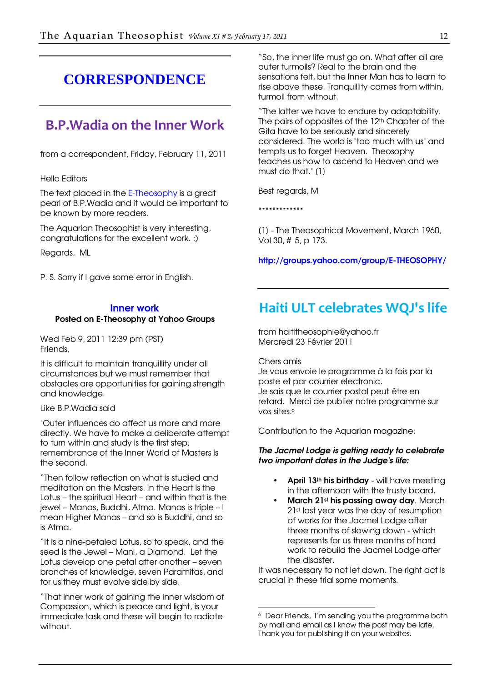## <span id="page-11-0"></span>**CORRESPONDENCE**

## B.P.Wadia on the Inner Work

from a correspondent, Friday, February 11, 2011

#### Hello Editors

The text placed in the E-Theosophy is a great pearl of B.P.Wadia and it would be important to be known by more readers.

The Aquarian Theosophist is very interesting, congratulations for the excellent work. :)

Regards, ML

P. S. Sorry if I gave some error in English.

#### [Inner work](http://groups.yahoo.com/group/E-THEOSOPHY/)

#### [Posted on E-Theosophy at Yahoo Groups](http://groups.yahoo.com/group/E-THEOSOPHY/)

Wed Feb 9, 2011 12:39 pm (PST) Friends,

It is difficult to maintain tranquillity under all circumstances but we must remember that obstacles are opportunities for gaining strength and knowledge.

#### Like B.P.Wadia said

"Outer influences do affect us more and more directly. We have to make a deliberate attempt to turn within and study is the first step; remembrance of the Inner World of Masters is the second.

"Then follow reflection on what is studied and meditation on the Masters. In the Heart is the Lotus – the spiritual Heart – and within that is the jewel – Manas, Buddhi, Atma. Manas is triple – I mean Higher Manas – and so is Buddhi, and so is Atma.

"It is a nine-petaled Lotus, so to speak, and the seed is the Jewel – Mani, a Diamond. Let the Lotus develop one petal after another – seven branches of knowledge, seven Paramitas, and for us they must evolve side by side.

"That inner work of gaining the inner wisdom of Compassion, which is peace and light, is your immediate task and these will begin to radiate without.

"So, the inner life must go on. What after all are outer turmoils? Real to the brain and the sensations felt, but the Inner Man has to learn to rise above these. Tranquillity comes from within, turmoil from without.

"The latter we have to endure by adaptability. The pairs of opposites of the 12<sup>th</sup> Chapter of the Gita have to be seriously and sincerely considered. The world is "too much with us" and tempts us to forget Heaven. Theosophy teaches us how to ascend to Heaven and we must do that." [1]

Best regards, M

\*\*\*\*\*\*\*\*\*\*\*\*\*

[1] - The Theosophical Movement, March 1960, Vol 30, # 5, p 173.

<http://groups.yahoo.com/group/E-THEOSOPHY/>

## Haiti ULT celebrates WQJ's life

from haititheosophie@yahoo.fr Mercredi 23 Février 2011

Chers amis

-

Je vous envoie le programme à la fois par la poste et par courrier electronic. Je sais que le courrier postal peut être en retard. Merci de publier notre programme sur vos sites.<sup>6</sup>

Contribution to the Aquarian magazine:

#### The Jacmel Lodge is getting ready to celebrate two important dates in the Judge's life:

- April  $13<sup>th</sup>$  his birthday will have meeting in the afternoon with the trusty board.
- March 21st his passing away day. March 21st last year was the day of resumption of works for the Jacmel Lodge after three months of slowing down - which represents for us three months of hard work to rebuild the Jacmel Lodge after the disaster.

It was necessary to not let down. The right act is crucial in these trial some moments.

<sup>6</sup> Dear Friends, I'm sending you the programme both by mail and email as I know the post may be late. Thank you for publishing it on your websites.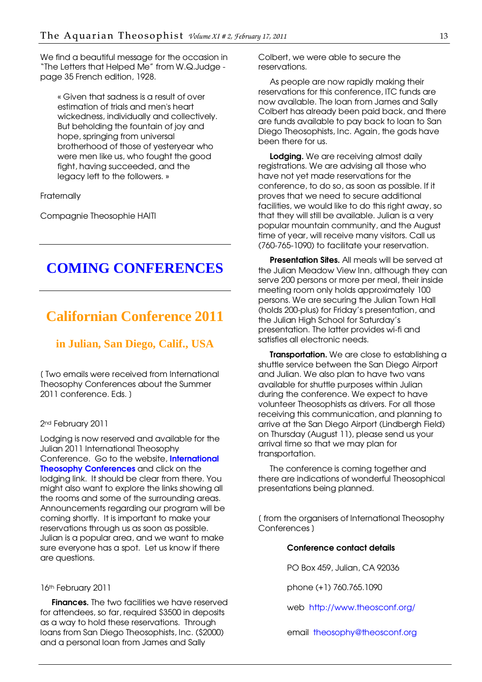<span id="page-12-0"></span>We find a beautiful message for the occasion in "The Letters that Helped Me" from W.Q.Judge page 35 French edition, 1928.

« Given that sadness is a result of over estimation of trials and men's heart wickedness, individually and collectively. But beholding the fountain of joy and hope, springing from universal brotherhood of those of yesteryear who were men like us, who fought the good fight, having succeeded, and the legacy left to the followers. »

**Fraternally** 

Compagnie Theosophie HAITI

## **COMING CONFERENCES**

## **Californian Conference 2011**

#### **in Julian, San Diego, Calif., USA**

[ Two emails were received from International Theosophy Conferences about the Summer 2011 conference. Eds. ]

#### 2<sup>nd</sup> February 2011

Lodging is now reserved and available for the Julian 2011 International Theosophy Conference. Go to the website, **International Theosophy Conferences** and click on the lodging link. It should be clear from there. You might also want to explore the links showing all the rooms and some of the surrounding areas. Announcements regarding our program will be coming shortly. It is important to make your reservations through us as soon as possible. Julian is a popular area, and we want to make sure everyone has a spot. Let us know if there are questions.

#### 16th February 2011

**Finances.** The two facilities we have reserved for attendees, so far, required \$3500 in deposits as a way to hold these reservations. Through loans from San Diego Theosophists, Inc. (\$2000) and a personal loan from James and Sally

Colbert, we were able to secure the reservations.

As people are now rapidly making their reservations for this conference, ITC funds are now available. The loan from James and Sally Colbert has already been paid back, and there are funds available to pay back to loan to San Diego Theosophists, Inc. Again, the gods have been there for us.

Lodging. We are receiving almost daily registrations. We are advising all those who have not yet made reservations for the conference, to do so, as soon as possible. If it proves that we need to secure additional facilities, we would like to do this right away, so that they will still be available. Julian is a very popular mountain community, and the August time of year, will receive many visitors. Call us (760-765-1090) to facilitate your reservation.

Presentation Sites. All meals will be served at the Julian Meadow View Inn, although they can serve 200 persons or more per meal, their inside meeting room only holds approximately 100 persons. We are securing the Julian Town Hall (holds 200-plus) for Friday's presentation, and the Julian High School for Saturday's presentation. The latter provides wi-fi and satisfies all electronic needs.

**Transportation.** We are close to establishing a shuttle service between the San Diego Airport and Julian. We also plan to have two vans available for shuttle purposes within Julian during the conference. We expect to have volunteer Theosophists as drivers. For all those receiving this communication, and planning to arrive at the San Diego Airport (Lindbergh Field) on Thursday (August 11), please send us your arrival time so that we may plan for transportation.

The conference is coming together and there are indications of wonderful Theosophical presentations being planned.

[ from the organisers of International Theosophy Conferences ]

#### Conference contact details

PO Box 459, Julian, CA 92036

phone (+1) 760.765.1090

web <http://www.theosconf.org/>

email [theosophy@theosconf.org](mailto:theosophy@theosconf.org)